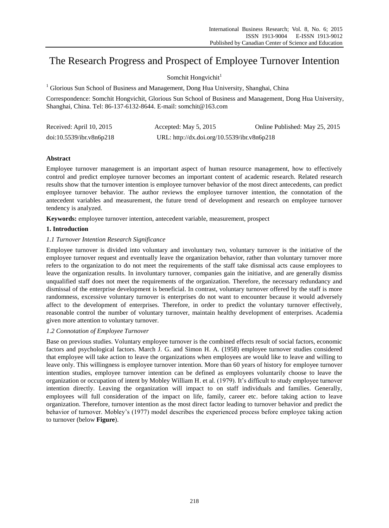# The Research Progress and Prospect of Employee Turnover Intention

Somchit Hongvichit $<sup>1</sup>$ </sup>

 $1$  Glorious Sun School of Business and Management, Dong Hua University, Shanghai, China

Correspondence: Somchit Hongvichit, Glorious Sun School of Business and Management, Dong Hua University, Shanghai, China. Tel: 86-137-6132-8644. E-mail: somchit@163.com

| Received: April 10, 2015 | Accepted: May 5, 2015                       | Online Published: May 25, 2015 |
|--------------------------|---------------------------------------------|--------------------------------|
| doi:10.5539/ibr.v8n6p218 | URL: http://dx.doi.org/10.5539/ibr.v8n6p218 |                                |

# **Abstract**

Employee turnover management is an important aspect of human resource management, how to effectively control and predict employee turnover becomes an important content of academic research. Related research results show that the turnover intention is employee turnover behavior of the most direct antecedents, can predict employee turnover behavior. The author reviews the employee turnover intention, the connotation of the antecedent variables and measurement, the future trend of development and research on employee turnover tendency is analyzed.

**Keywords:** employee turnover intention, antecedent variable, measurement, prospect

# **1. Introduction**

# *1.1 Turnover Intention Research Significance*

Employee turnover is divided into voluntary and involuntary two, voluntary turnover is the initiative of the employee turnover request and eventually leave the organization behavior, rather than voluntary turnover more refers to the organization to do not meet the requirements of the staff take dismissal acts cause employees to leave the organization results. In involuntary turnover, companies gain the initiative, and are generally dismiss unqualified staff does not meet the requirements of the organization. Therefore, the necessary redundancy and dismissal of the enterprise development is beneficial. In contrast, voluntary turnover offered by the staff is more randomness, excessive voluntary turnover is enterprises do not want to encounter because it would adversely affect to the development of enterprises. Therefore, in order to predict the voluntary turnover effectively, reasonable control the number of voluntary turnover, maintain healthy development of enterprises. Academia given more attention to voluntary turnover.

# *1.2 Connotation of Employee Turnover*

Base on previous studies. Voluntary employee turnover is the combined effects result of social factors, economic factors and psychological factors. March J. G. and Simon H. A. (1958) employee turnover studies considered that employee will take action to leave the organizations when employees are would like to leave and willing to leave only. This willingness is employee turnover intention. More than 60 years of history for employee turnover intention studies, employee turnover intention can be defined as employees voluntarily choose to leave the organization or occupation of intent by Mobley William H. et al. (1979). It's difficult to study employee turnover intention directly. Leaving the organization will impact to on staff individuals and families. Generally, employees will full consideration of the impact on life, family, career etc. before taking action to leave organization. Therefore, turnover intention as the most direct factor leading to turnover behavior and predict the behavior of turnover. Mobley's (1977) model describes the experienced process before employee taking action to turnover (below **Figure**).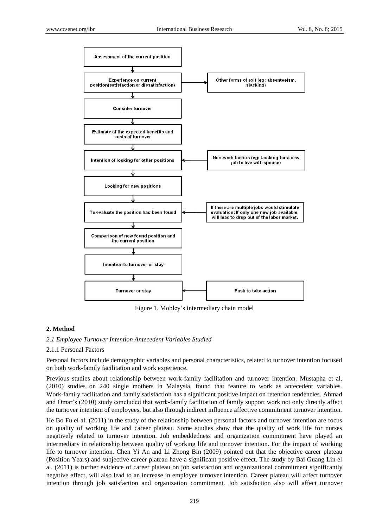

Figure 1. Mobley's intermediary chain model

## **2. Method**

#### *2.1 Employee Turnover Intention Antecedent Variables Studied*

## 2.1.1 Personal Factors

Personal factors include demographic variables and personal characteristics, related to turnover intention focused on both work-family facilitation and work experience.

Previous studies about relationship between work-family facilitation and turnover intention. Mustapha et al. (2010) studies on 240 single mothers in Malaysia, found that feature to work as antecedent variables. Work-family facilitation and family satisfaction has a significant positive impact on retention tendencies. Ahmad and Omar's (2010) study concluded that work-family facilitation of family support work not only directly affect the turnover intention of employees, but also through indirect influence affective commitment turnover intention.

He Bo Fu el al. (2011) in the study of the relationship between personal factors and turnover intention are focus on quality of working life and career plateau. Some studies show that the quality of work life for nurses negatively related to turnover intention. Job embeddedness and organization commitment have played an intermediary in relationship between quality of working life and turnover intention. For the impact of working life to turnover intention. Chen Yi An and Li Zhong Bin (2009) pointed out that the objective career plateau (Position Years) and subjective career plateau have a significant positive effect. The study by Bai Guang Lin el al. (2011) is further evidence of career plateau on job satisfaction and organizational commitment significantly negative effect, will also lead to an increase in employee turnover intention. Career plateau will affect turnover intention through job satisfaction and organization commitment. Job satisfaction also will affect turnover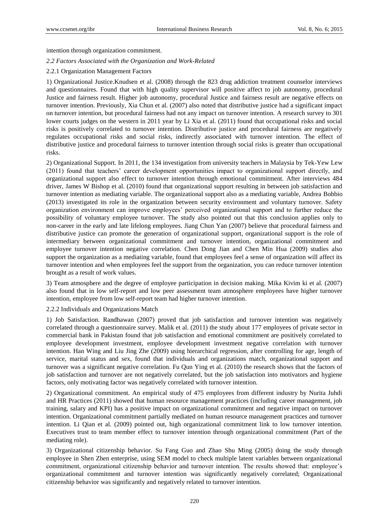intention through organization commitment.

### *2.2 Factors Associated with the Organization and Work-Related*

#### 2.2.1 Organization Management Factors

1) Organizational Justice.Knudsen et al. (2008) through the 823 drug addiction treatment counselor interviews and questionnaires. Found that with high quality supervisor will positive affect to job autonomy, procedural Justice and fairness result. Higher job autonomy, procedural Justice and fairness result are negative effects on turnover intention. Previously, Xia Chun et al. (2007) also noted that distributive justice had a significant impact on turnover intention, but procedural fairness had not any impact on turnover intention. A research survey to 301 lower courts judges on the western in 2011 year by Li Xia et al. (2011) found that occupational risks and social risks is positively correlated to turnover intention. Distributive justice and procedural fairness are negatively regulates occupational risks and social risks, indirectly associated with turnover intention. The effect of distributive justice and procedural fairness to turnover intention through social risks is greater than occupational risks.

2) Organizational Support. In 2011, the 134 investigation from university teachers in Malaysia by Tek-Yew Lew (2011) found that teachers' career development opportunities impact to organizational support directly, and organizational support also effect to turnover intention through emotional commitment. After interviews 484 driver, James W Bishop et al. (2010) found that organizational support resulting in between job satisfaction and turnover intention as mediating variable. The organizational support also as a mediating variable, Andrea Bobbio (2013) investigated its role in the organization between security environment and voluntary turnover. Safety organization environment can improve employees' perceived organizational support and to further reduce the possibility of voluntary employee turnover. The study also pointed out that this conclusion applies only to non-career in the early and late lifelong employees. Jiang Chun Yan (2007) believe that procedural fairness and distributive justice can promote the generation of organizational support, organizational support is the role of intermediary between organizational commitment and turnover intention, organizational commitment and employee turnover intention negative correlation. Chen Dong Jian and Chen Min Hua (2009) studies also support the organization as a mediating variable, found that employees feel a sense of organization will affect its turnover intention and when employees feel the support from the organization, you can reduce turnover intention brought as a result of work values.

3) Team atmosphere and the degree of employee participation in decision making. Mika Kivim ki et al. (2007) also found that in low self-report and low peer assessment team atmosphere employees have higher turnover intention, employee from low self-report team had higher turnover intention.

#### 2.2.2 Individuals and Organizations Match

1) Job Satisfaction. Randhawan (2007) proved that job satisfaction and turnover intention was negatively correlated through a questionnaire survey. Malik et al. (2011) the study about 177 employees of private sector in commercial bank in Pakistan found that job satisfaction and emotional commitment are positively correlated to employee development investment, employee development investment negative correlation with turnover intention. Han Wing and Liu Jing Zhe (2009) using hierarchical regression, after controlling for age, length of service, marital status and sex, found that individuals and organizations match, organizational support and turnover was a significant negative correlation. Fu Qun Ying et al. (2010) the research shows that the factors of job satisfaction and turnover are not negatively correlated, but the job satisfaction into motivators and hygiene factors, only motivating factor was negatively correlated with turnover intention.

2) Organizational commitment. An empirical study of 475 employees from different industry by Nurita Juhdi and HR Practices (2011) showed that human resource management practices (including career management, job training, salary and KPI) has a positive impact on organizational commitment and negative impact on turnover intention. Organizational commitment partially mediated on human resource management practices and turnover intention. Li Qian et al. (2009) pointed out, high organizational commitment link to low turnover intention. Executives trust to team member effect to turnover intention through organizational commitment (Part of the mediating role).

3) Organizational citizenship behavior. Su Fang Guo and Zhao Shu Ming (2005) doing the study through employee in Shen Zhen enterprise, using SEM model to check multiple latent variables between organizational commitment, organizational citizenship behavior and turnover intention. The results showed that: employee's organizational commitment and turnover intention was significantly negatively correlated; Organizational citizenship behavior was significantly and negatively related to turnover intention.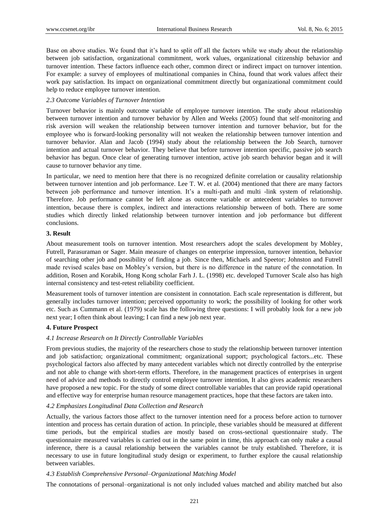Base on above studies. We found that it's hard to split off all the factors while we study about the relationship between job satisfaction, organizational commitment, work values, organizational citizenship behavior and turnover intention. These factors influence each other, common direct or indirect impact on turnover intention. For example: a survey of employees of multinational companies in China, found that work values affect their work pay satisfaction. Its impact on organizational commitment directly but organizational commitment could help to reduce employee turnover intention.

# *2.3 Outcome Variables of Turnover Intention*

Turnover behavior is mainly outcome variable of employee turnover intention. The study about relationship between turnover intention and turnover behavior by Allen and Weeks (2005) found that self-monitoring and risk aversion will weaken the relationship between turnover intention and turnover behavior, but for the employee who is forward-looking personality will not weaken the relationship between turnover intention and turnover behavior. Alan and Jacob (1994) study about the relationship between the Job Search, turnover intention and actual turnover behavior. They believe that before turnover intention specific, passive job search behavior has begun. Once clear of generating turnover intention, active job search behavior began and it will cause to turnover behavior any time.

In particular, we need to mention here that there is no recognized definite correlation or causality relationship between turnover intention and job performance. Lee T. W. et al. (2004) mentioned that there are many factors between job performance and turnover intention. It's a multi-path and multi -link system of relationship. Therefore. Job performance cannot be left alone as outcome variable or antecedent variables to turnover intention, because there is complex, indirect and interactions relationship between of both. There are some studies which directly linked relationship between turnover intention and job performance but different conclusions.

# **3. Result**

About measurement tools on turnover intention. Most researchers adopt the scales development by Mobley, Futrell, Parasuraman or Sager. Main measure of changes on enterprise impression, turnover intention, behavior of searching other job and possibility of finding a job. Since then, Michaels and Speetor; Johnston and Futrell made revised scales base on Mobley's version, but there is no difference in the nature of the connotation. In addition, Rosen and Korabik, Hong Kong scholar Farh J. L. (1998) etc. developed Turnover Scale also has high internal consistency and test-retest reliability coefficient.

Measurement tools of turnover intention are consistent in connotation. Each scale representation is different, but generally includes turnover intention; perceived opportunity to work; the possibility of looking for other work etc. Such as Cummann et al. (1979) scale has the following three questions: I will probably look for a new job next year; I often think about leaving; I can find a new job next year.

# **4. Future Prospect**

# *4.1 Increase Research on It Directly Controllable Variables*

From previous studies, the majority of the researchers chose to study the relationship between turnover intention and job satisfaction; organizational commitment; organizational support; psychological factors...etc. These psychological factors also affected by many antecedent variables which not directly controlled by the enterprise and not able to change with short-term efforts. Therefore, in the management practices of enterprises in urgent need of advice and methods to directly control employee turnover intention, It also gives academic researchers have proposed a new topic. For the study of some direct controllable variables that can provide rapid operational and effective way for enterprise human resource management practices, hope that these factors are taken into.

# *4.2 Emphasizes Longitudinal Data Collection and Research*

Actually, the various factors those affect to the turnover intention need for a process before action to turnover intention and process has certain duration of action. In principle, these variables should be measured at different time periods, but the empirical studies are mostly based on cross-sectional questionnaire study. The questionnaire measured variables is carried out in the same point in time, this approach can only make a causal inference, there is a causal relationship between the variables cannot be truly established. Therefore, it is necessary to use in future longitudinal study design or experiment, to further explore the causal relationship between variables.

## *4.3 Establish Comprehensive Personal–Organizational Matching Model*

The connotations of personal–organizational is not only included values matched and ability matched but also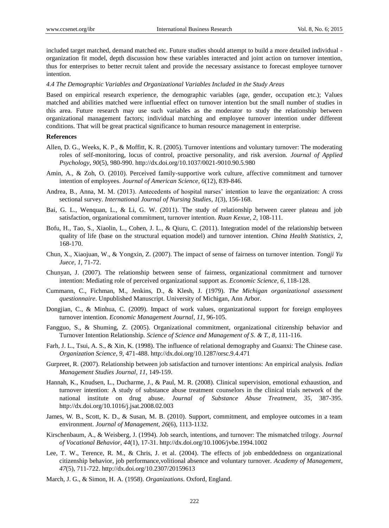included target matched, demand matched etc. Future studies should attempt to build a more detailed individual organization fit model, depth discussion how these variables interacted and joint action on turnover intention, thus for enterprises to better recruit talent and provide the necessary assistance to forecast employee turnover intention.

*4.4 The Demographic Variables and Organizational Variables Included in the Study Areas*

Based on empirical research experience, the demographic variables (age, gender, occupation etc.); Values matched and abilities matched were influential effect on turnover intention but the small number of studies in this area. Future research may use such variables as the moderator to study the relationship between organizational management factors; individual matching and employee turnover intention under different conditions. That will be great practical significance to human resource management in enterprise.

# **References**

- Allen, D. G., Weeks, K. P., & Moffitt, K. R. (2005). Turnover intentions and voluntary turnover: The moderating roles of self-monitoring, locus of control, proactive personality, and risk aversion. *Journal of Applied Psychology, 90*(5), 980-990. http://dx.doi.org/10.1037/0021-9010.90.5.980
- Amin, A., & Zoh, O. (2010). Perceived family-supportive work culture, affective commitment and turnover intention of employees. *Journal of American Science, 6*(12), 839-846.
- Andrea, B., Anna, M. M. (2013). Antecedents of hospital nurses' intention to leave the organization: A cross sectional survey. *International Journal of Nursing Studies, 1*(3), 156-168.
- Bai, G. L., Wenquan, L., & Li, G. W. (2011). The study of relationship between career plateau and job satisfaction, organizational commitment, turnover intention. *Ruan Kexue, 2*, 108-111.
- Bofu, H., Tao, S., Xiaolin, L., Cohen, J. L., & Qiuru, C. (2011). Integration model of the relationship between quality of life (base on the structural equation model) and turnover intention. *China Health Statistics, 2*, 168-170.
- Chun, X., Xiaojuan, W., & Yongxin, Z. (2007). The impact of sense of fairness on turnover intention. *Tongji Yu Juece, 1,* 71-72.
- Chunyan, J. (2007). The relationship between sense of fairness, organizational commitment and turnover intention: Mediating role of perceived organizational support as. *Economic Science, 6*, 118-128.
- Cummann, C., Fichman, M., Jenkins, D., & Klesh, J. (1979). *The Michigan organizational assessment questionnaire*. Unpublished Manuscript. University of Michigan, Ann Arbor.
- Dongjian, C., & Minhua, C. (2009). Impact of work values, organizational support for foreign employees turnover intention. *Economic Management Journal, 11*, 96-105.
- Fangguo, S., & Shuming, Z. (2005). Organizational commitment, organizational citizenship behavior and Turnover Intention Relationship. *Science of Science and Management of S. & T., 8,* 111-116.
- Farh, J. L., Tsui, A. S., & Xin, K. (1998). The influence of relational demography and Guanxi: The Chinese case. *Organization Science, 9*, 471-488. http://dx.doi.org/10.1287/orsc.9.4.471
- Gurpreet, R. (2007). Relationship between job satisfaction and turnover intentions: An empirical analysis. *Indian Management Studies Journal, 11*, 149-159.
- Hannah, K., Knudsen, L., Ducharme, J., & Paul, M. R. (2008). Clinical supervision, emotional exhaustion, and turnover intention: A study of substance abuse treatment counselors in the clinical trials network of the national institute on drug abuse. *Journal of Substance Abuse Treatment, 35*, 387-395. http://dx.doi.org/10.1016/j.jsat.2008.02.003
- James, W. B., Scott, K. D., & Susan, M. B. (2010). Support, commitment, and employee outcomes in a team environment. *Journal of Management, 26*(6), 1113-1132.
- Kirschenbaum, A., & Weisberg, J. (1994). Job search, intentions, and turnover: The mismatched trilogy. *Journal of Vocational Behavior, 44*(1), 17-31. http://dx.doi.org/10.1006/jvbe.1994.1002
- Lee, T. W., Terence, R. M., & Chris, J. et al. (2004). The effects of job embeddedness on organizational citizenship behavior, job performance,volitional absence and voluntary turnover. *Academy of Management, 47*(5), 711-722. http://dx.doi.org/10.2307/20159613
- March, J. G., & Simon, H. A. (1958). *Organizations*. Oxford, England.